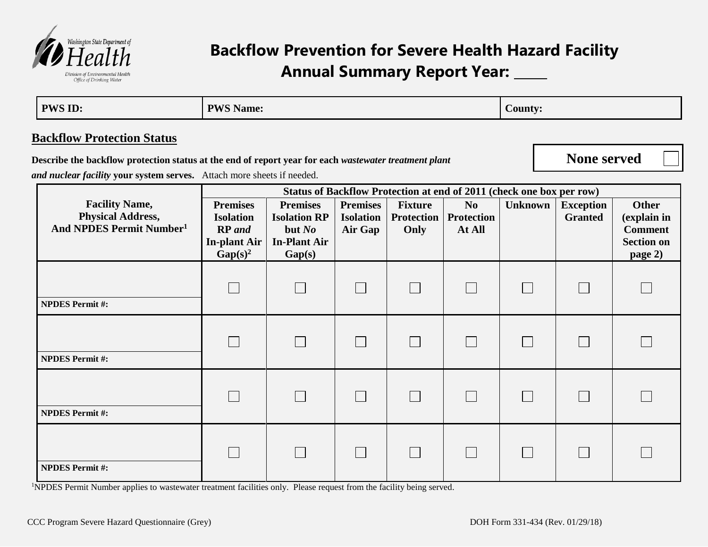

## **Backflow Prevention for Severe Health Hazard Facility Annual Summary Report Year: \_\_\_\_\_**

| <b>PWS ID:</b>                                                                                                                                 | <b>PWS Name:</b>                                                                          |                                                                                     |                                                |                                             |                                               |                | <b>County:</b>                     |                                                                               |  |  |
|------------------------------------------------------------------------------------------------------------------------------------------------|-------------------------------------------------------------------------------------------|-------------------------------------------------------------------------------------|------------------------------------------------|---------------------------------------------|-----------------------------------------------|----------------|------------------------------------|-------------------------------------------------------------------------------|--|--|
| <b>Backflow Protection Status</b>                                                                                                              |                                                                                           |                                                                                     |                                                |                                             |                                               |                |                                    |                                                                               |  |  |
| Describe the backflow protection status at the end of report year for each wastewater treatment plant                                          |                                                                                           |                                                                                     |                                                |                                             |                                               |                |                                    | <b>None served</b>                                                            |  |  |
| and nuclear facility your system serves. Attach more sheets if needed.<br>Status of Backflow Protection at end of 2011 (check one box per row) |                                                                                           |                                                                                     |                                                |                                             |                                               |                |                                    |                                                                               |  |  |
| <b>Facility Name,</b><br><b>Physical Address,</b><br>And NPDES Permit Number <sup>1</sup>                                                      | <b>Premises</b><br><b>Isolation</b><br><b>RP</b> and<br><b>In-plant Air</b><br>$Gap(s)^2$ | <b>Premises</b><br><b>Isolation RP</b><br>but $No$<br><b>In-Plant Air</b><br>Gap(s) | <b>Premises</b><br><b>Isolation</b><br>Air Gap | <b>Fixture</b><br><b>Protection</b><br>Only | N <sub>o</sub><br><b>Protection</b><br>At All | <b>Unknown</b> | <b>Exception</b><br><b>Granted</b> | <b>Other</b><br>(explain in<br><b>Comment</b><br><b>Section on</b><br>page 2) |  |  |
| <b>NPDES Permit#:</b>                                                                                                                          |                                                                                           |                                                                                     |                                                |                                             |                                               |                |                                    |                                                                               |  |  |
| <b>NPDES Permit#:</b>                                                                                                                          |                                                                                           |                                                                                     |                                                |                                             | $\mathbb{R}^n$                                |                | $\Box$                             |                                                                               |  |  |
| <b>NPDES Permit#:</b>                                                                                                                          |                                                                                           |                                                                                     |                                                |                                             |                                               |                |                                    |                                                                               |  |  |
| <b>NPDES Permit#:</b>                                                                                                                          |                                                                                           |                                                                                     |                                                |                                             |                                               |                |                                    |                                                                               |  |  |

<sup>1</sup>NPDES Permit Number applies to wastewater treatment facilities only. Please request from the facility being served.